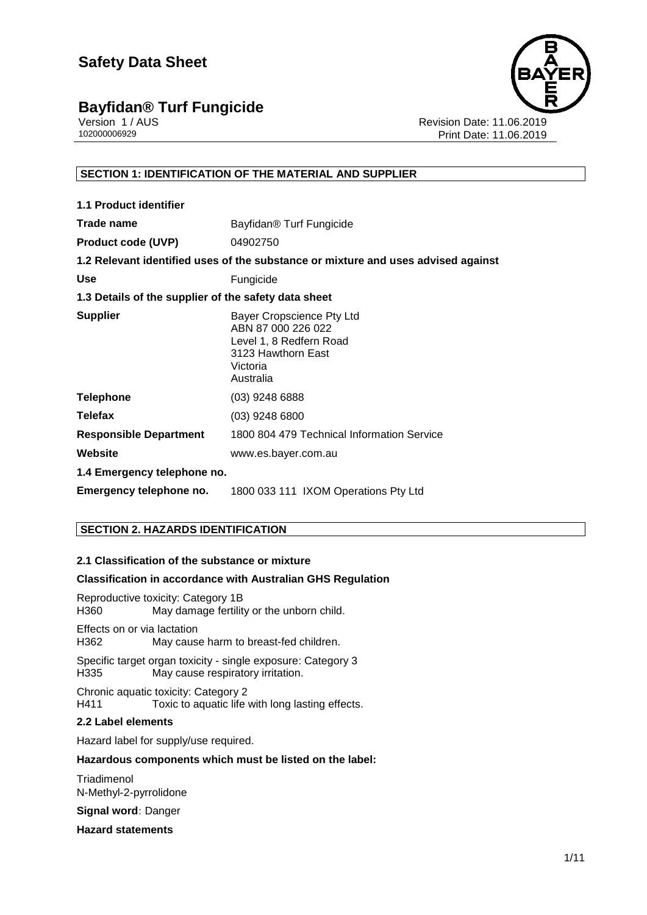

Version 1 / AUS Revision Date: 11.06.2019 Print Date: 11.06.2019

#### **SECTION 1: IDENTIFICATION OF THE MATERIAL AND SUPPLIER**

| 1.1 Product identifier                               |                                                                                                                           |
|------------------------------------------------------|---------------------------------------------------------------------------------------------------------------------------|
| Trade name                                           | Bayfidan <sup>®</sup> Turf Fungicide                                                                                      |
| <b>Product code (UVP)</b>                            | 04902750                                                                                                                  |
|                                                      | 1.2 Relevant identified uses of the substance or mixture and uses advised against                                         |
| <b>Use</b>                                           | Fungicide                                                                                                                 |
| 1.3 Details of the supplier of the safety data sheet |                                                                                                                           |
| <b>Supplier</b>                                      | Bayer Cropscience Pty Ltd<br>ABN 87 000 226 022<br>Level 1, 8 Redfern Road<br>3123 Hawthorn East<br>Victoria<br>Australia |
| <b>Telephone</b>                                     | $(03)$ 9248 6888                                                                                                          |
| <b>Telefax</b>                                       | $(03)$ 9248 6800                                                                                                          |
| <b>Responsible Department</b>                        | 1800 804 479 Technical Information Service                                                                                |
| Website                                              | www.es.bayer.com.au                                                                                                       |
| 1.4 Emergency telephone no.                          |                                                                                                                           |
| Emergency telephone no.                              | 1800 033 111 IXOM Operations Pty Ltd                                                                                      |

#### **SECTION 2. HAZARDS IDENTIFICATION**

#### **2.1 Classification of the substance or mixture**

#### **Classification in accordance with Australian GHS Regulation**

Reproductive toxicity: Category 1B H360 May damage fertility or the unborn child.

Effects on or via lactation H362 May cause harm to breast-fed children.

Specific target organ toxicity - single exposure: Category 3 H335 May cause respiratory irritation.

Chronic aquatic toxicity: Category 2 H411 Toxic to aquatic life with long lasting effects.

#### **2.2 Label elements**

Hazard label for supply/use required.

#### **Hazardous components which must be listed on the label:**

**Triadimenol** N-Methyl-2-pyrrolidone

**Signal word:** Danger

**Hazard statements**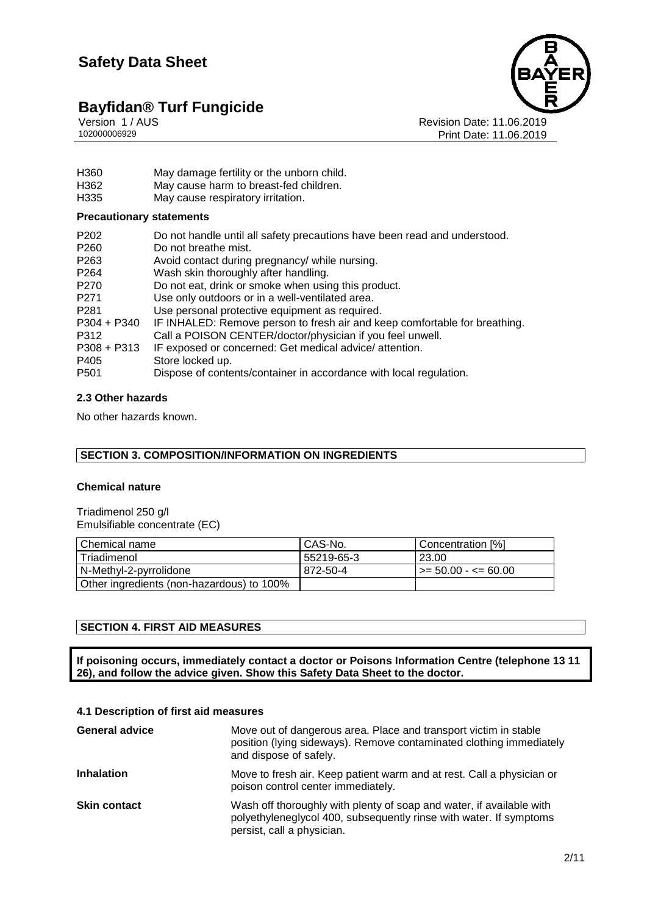

Version 1 / AUS Revision Date: 11.06.2019 Print Date: 11.06.2019

- H360 May damage fertility or the unborn child.<br>H362 May cause harm to breast-fed children.
- May cause harm to breast-fed children.
- H335 May cause respiratory irritation.

#### **Precautionary statements**

| P <sub>202</sub> | Do not handle until all safety precautions have been read and understood.  |
|------------------|----------------------------------------------------------------------------|
| P <sub>260</sub> | Do not breathe mist.                                                       |
| P <sub>263</sub> | Avoid contact during pregnancy/ while nursing.                             |
| P <sub>264</sub> | Wash skin thoroughly after handling.                                       |
| P <sub>270</sub> | Do not eat, drink or smoke when using this product.                        |
| P <sub>271</sub> | Use only outdoors or in a well-ventilated area.                            |
| P <sub>281</sub> | Use personal protective equipment as required.                             |
| $P304 + P340$    | IF INHALED: Remove person to fresh air and keep comfortable for breathing. |
| P312             | Call a POISON CENTER/doctor/physician if you feel unwell.                  |
| $P308 + P313$    | IF exposed or concerned: Get medical advice/attention.                     |
| P405             | Store locked up.                                                           |
| P <sub>501</sub> | Dispose of contents/container in accordance with local regulation.         |

#### **2.3 Other hazards**

No other hazards known.

#### **SECTION 3. COMPOSITION/INFORMATION ON INGREDIENTS**

#### **Chemical nature**

Triadimenol 250 g/l Emulsifiable concentrate (EC)

| l Chemical name                           | CAS-No.    | Concentration [%]     |
|-------------------------------------------|------------|-----------------------|
| l Triadimenol                             | 55219-65-3 | 23.00                 |
| N-Methyl-2-pyrrolidone                    | 872-50-4   | l >= 50.00 - <= 60.00 |
| Other ingredients (non-hazardous) to 100% |            |                       |

#### **SECTION 4. FIRST AID MEASURES**

**If poisoning occurs, immediately contact a doctor or Poisons Information Centre (telephone 13 11 26), and follow the advice given. Show this Safety Data Sheet to the doctor.**

#### **4.1 Description of first aid measures**

| <b>General advice</b> | Move out of dangerous area. Place and transport victim in stable<br>position (lying sideways). Remove contaminated clothing immediately<br>and dispose of safely.        |
|-----------------------|--------------------------------------------------------------------------------------------------------------------------------------------------------------------------|
| <b>Inhalation</b>     | Move to fresh air. Keep patient warm and at rest. Call a physician or<br>poison control center immediately.                                                              |
| <b>Skin contact</b>   | Wash off thoroughly with plenty of soap and water, if available with<br>polyethyleneglycol 400, subsequently rinse with water. If symptoms<br>persist, call a physician. |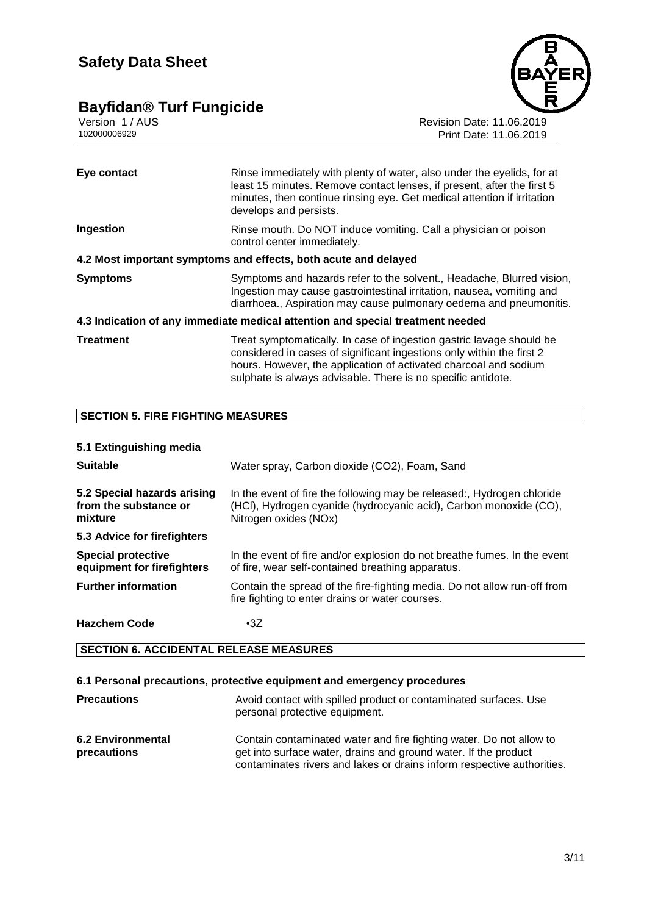### **Bayfidan® Turf Fungicide 3/11**



Version 1 / AUS Revision Date: 11.06.2019 102000006929 Print Date: 11.06.2019

| Eye contact      | Rinse immediately with plenty of water, also under the eyelids, for at<br>least 15 minutes. Remove contact lenses, if present, after the first 5<br>minutes, then continue rinsing eye. Get medical attention if irritation<br>develops and persists. |
|------------------|-------------------------------------------------------------------------------------------------------------------------------------------------------------------------------------------------------------------------------------------------------|
| Ingestion        | Rinse mouth. Do NOT induce vomiting. Call a physician or poison<br>control center immediately.                                                                                                                                                        |
|                  | 4.2 Most important symptoms and effects, both acute and delayed                                                                                                                                                                                       |
| <b>Symptoms</b>  | Symptoms and hazards refer to the solvent., Headache, Blurred vision,<br>Ingestion may cause gastrointestinal irritation, nausea, vomiting and<br>diarrhoea., Aspiration may cause pulmonary oedema and pneumonitis.                                  |
|                  | 4.3 Indication of any immediate medical attention and special treatment needed                                                                                                                                                                        |
| <b>Treatment</b> | Treat symptomatically. In case of ingestion gastric lavage should be<br>considered in cases of significant ingestions only within the first 2                                                                                                         |

hours. However, the application of activated charcoal and sodium sulphate is always advisable. There is no specific antidote.

#### **SECTION 5. FIRE FIGHTING MEASURES**

#### **5.1 Extinguishing media**

| <b>Suitable</b>                                                 | Water spray, Carbon dioxide (CO2), Foam, Sand                                                                                                                        |  |
|-----------------------------------------------------------------|----------------------------------------------------------------------------------------------------------------------------------------------------------------------|--|
| 5.2 Special hazards arising<br>from the substance or<br>mixture | In the event of fire the following may be released:, Hydrogen chloride<br>(HCI), Hydrogen cyanide (hydrocyanic acid), Carbon monoxide (CO),<br>Nitrogen oxides (NOx) |  |
| 5.3 Advice for firefighters                                     |                                                                                                                                                                      |  |
| <b>Special protective</b><br>equipment for firefighters         | In the event of fire and/or explosion do not breathe fumes. In the event<br>of fire, wear self-contained breathing apparatus.                                        |  |
| <b>Further information</b>                                      | Contain the spread of the fire-fighting media. Do not allow run-off from<br>fire fighting to enter drains or water courses.                                          |  |
| <b>Hazchem Code</b>                                             | $\cdot$ 3Z                                                                                                                                                           |  |

#### **SECTION 6. ACCIDENTAL RELEASE MEASURES**

#### **6.1 Personal precautions, protective equipment and emergency procedures**

| <b>Precautions</b>                      | Avoid contact with spilled product or contaminated surfaces. Use<br>personal protective equipment.                                                                                                               |
|-----------------------------------------|------------------------------------------------------------------------------------------------------------------------------------------------------------------------------------------------------------------|
| <b>6.2 Environmental</b><br>precautions | Contain contaminated water and fire fighting water. Do not allow to<br>get into surface water, drains and ground water. If the product<br>contaminates rivers and lakes or drains inform respective authorities. |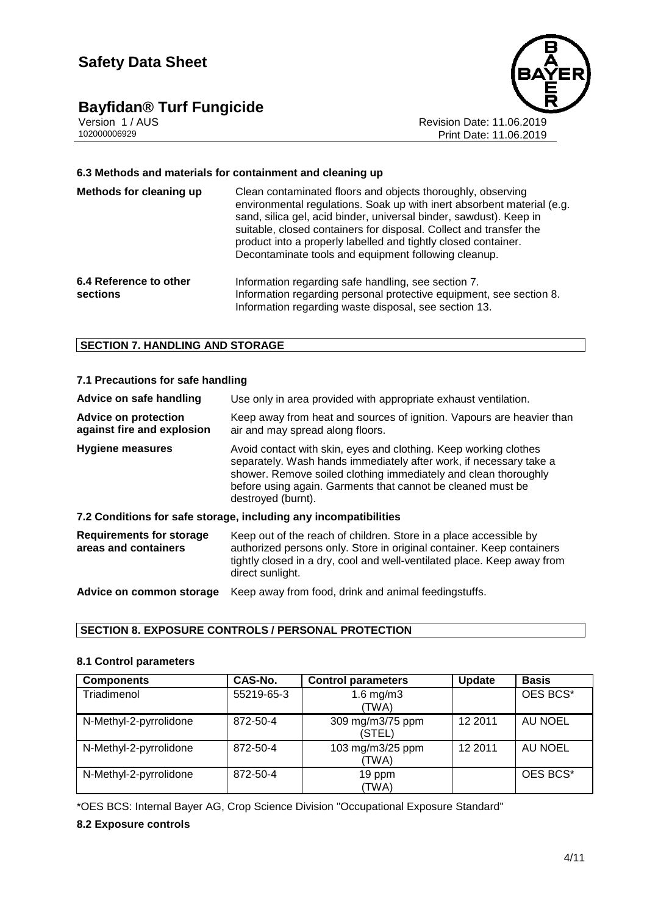# **Bayfidan® Turf Fungicide**<br> **Version 1/AUS**<br>
102000006929



Revision Date: 11.06.2019 Print Date: 11.06.2019

#### **6.3 Methods and materials for containment and cleaning up**

| Methods for cleaning up            | Clean contaminated floors and objects thoroughly, observing<br>environmental regulations. Soak up with inert absorbent material (e.g.<br>sand, silica gel, acid binder, universal binder, sawdust). Keep in<br>suitable, closed containers for disposal. Collect and transfer the<br>product into a properly labelled and tightly closed container.<br>Decontaminate tools and equipment following cleanup. |
|------------------------------------|-------------------------------------------------------------------------------------------------------------------------------------------------------------------------------------------------------------------------------------------------------------------------------------------------------------------------------------------------------------------------------------------------------------|
| 6.4 Reference to other<br>sections | Information regarding safe handling, see section 7.<br>Information regarding personal protective equipment, see section 8.<br>Information regarding waste disposal, see section 13.                                                                                                                                                                                                                         |

#### **SECTION 7. HANDLING AND STORAGE**

| 7.1 Precautions for safe handling                         |                                                                                                                                                                                                                                                                                                |  |
|-----------------------------------------------------------|------------------------------------------------------------------------------------------------------------------------------------------------------------------------------------------------------------------------------------------------------------------------------------------------|--|
| Advice on safe handling                                   | Use only in area provided with appropriate exhaust ventilation.                                                                                                                                                                                                                                |  |
| <b>Advice on protection</b><br>against fire and explosion | Keep away from heat and sources of ignition. Vapours are heavier than<br>air and may spread along floors.                                                                                                                                                                                      |  |
| <b>Hygiene measures</b>                                   | Avoid contact with skin, eyes and clothing. Keep working clothes<br>separately. Wash hands immediately after work, if necessary take a<br>shower. Remove soiled clothing immediately and clean thoroughly<br>before using again. Garments that cannot be cleaned must be<br>destroyed (burnt). |  |
|                                                           | 7.2 Conditions for safe storage, including any incompatibilities                                                                                                                                                                                                                               |  |
| <b>Requirements for storage</b><br>areas and containers   | Keep out of the reach of children. Store in a place accessible by<br>authorized persons only. Store in original container. Keep containers<br>tightly closed in a dry, cool and well-ventilated place. Keep away from<br>direct sunlight.                                                      |  |
| Advice on common storage                                  | Keep away from food, drink and animal feedingstuffs.                                                                                                                                                                                                                                           |  |

#### **SECTION 8. EXPOSURE CONTROLS / PERSONAL PROTECTION**

#### **8.1 Control parameters**

| <b>Components</b>      | CAS-No.    | <b>Control parameters</b>  | <b>Update</b> | <b>Basis</b> |
|------------------------|------------|----------------------------|---------------|--------------|
| Triadimenol            | 55219-65-3 | 1.6 $mg/m3$<br>(TWA)       |               | OES BCS*     |
| N-Methyl-2-pyrrolidone | 872-50-4   | 309 mg/m3/75 ppm<br>(STEL) | 12 2011       | AU NOEL      |
| N-Methyl-2-pyrrolidone | 872-50-4   | 103 mg/m3/25 ppm<br>(TWA)  | 12 2011       | AU NOEL      |
| N-Methyl-2-pyrrolidone | 872-50-4   | 19 ppm<br>(TWA)            |               | OES BCS*     |

\*OES BCS: Internal Bayer AG, Crop Science Division "Occupational Exposure Standard"

#### **8.2 Exposure controls**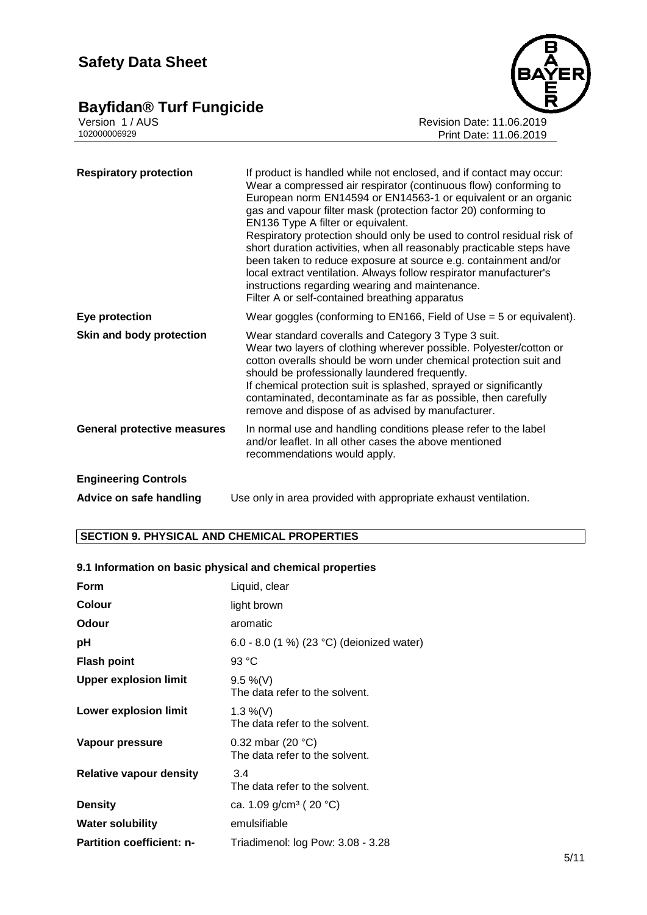### **Bayfidan® Turf Fungicide 5/11**



Version 1 / AUS Revision Date: 11.06.2019 102000006929 Print Date: 11.06.2019

| <b>Respiratory protection</b>      | If product is handled while not enclosed, and if contact may occur:<br>Wear a compressed air respirator (continuous flow) conforming to<br>European norm EN14594 or EN14563-1 or equivalent or an organic<br>gas and vapour filter mask (protection factor 20) conforming to<br>EN136 Type A filter or equivalent.<br>Respiratory protection should only be used to control residual risk of<br>short duration activities, when all reasonably practicable steps have<br>been taken to reduce exposure at source e.g. containment and/or<br>local extract ventilation. Always follow respirator manufacturer's<br>instructions regarding wearing and maintenance.<br>Filter A or self-contained breathing apparatus |
|------------------------------------|---------------------------------------------------------------------------------------------------------------------------------------------------------------------------------------------------------------------------------------------------------------------------------------------------------------------------------------------------------------------------------------------------------------------------------------------------------------------------------------------------------------------------------------------------------------------------------------------------------------------------------------------------------------------------------------------------------------------|
| Eye protection                     | Wear goggles (conforming to $EN166$ , Field of Use = 5 or equivalent).                                                                                                                                                                                                                                                                                                                                                                                                                                                                                                                                                                                                                                              |
| Skin and body protection           | Wear standard coveralls and Category 3 Type 3 suit.<br>Wear two layers of clothing wherever possible. Polyester/cotton or<br>cotton overalls should be worn under chemical protection suit and<br>should be professionally laundered frequently.<br>If chemical protection suit is splashed, sprayed or significantly<br>contaminated, decontaminate as far as possible, then carefully<br>remove and dispose of as advised by manufacturer.                                                                                                                                                                                                                                                                        |
| <b>General protective measures</b> | In normal use and handling conditions please refer to the label<br>and/or leaflet. In all other cases the above mentioned<br>recommendations would apply.                                                                                                                                                                                                                                                                                                                                                                                                                                                                                                                                                           |
| <b>Engineering Controls</b>        |                                                                                                                                                                                                                                                                                                                                                                                                                                                                                                                                                                                                                                                                                                                     |
| Advice on safe handling            | Use only in area provided with appropriate exhaust ventilation.                                                                                                                                                                                                                                                                                                                                                                                                                                                                                                                                                                                                                                                     |

#### **SECTION 9. PHYSICAL AND CHEMICAL PROPERTIES**

#### **9.1 Information on basic physical and chemical properties**

| Form                             | Liquid, clear                                          |
|----------------------------------|--------------------------------------------------------|
| <b>Colour</b>                    | light brown                                            |
| Odour                            | aromatic                                               |
| рH                               | 6.0 - 8.0 (1 %) (23 °C) (deionized water)              |
| <b>Flash point</b>               | 93 °C                                                  |
| <b>Upper explosion limit</b>     | $9.5\%$ (V)<br>The data refer to the solvent.          |
| <b>Lower explosion limit</b>     | 1.3 %(V)<br>The data refer to the solvent.             |
| Vapour pressure                  | 0.32 mbar (20 $°C$ )<br>The data refer to the solvent. |
| <b>Relative vapour density</b>   | 3.4<br>The data refer to the solvent.                  |
| <b>Density</b>                   | ca. 1.09 g/cm <sup>3</sup> (20 °C)                     |
| <b>Water solubility</b>          | emulsifiable                                           |
| <b>Partition coefficient: n-</b> | Triadimenol: log Pow: 3.08 - 3.28                      |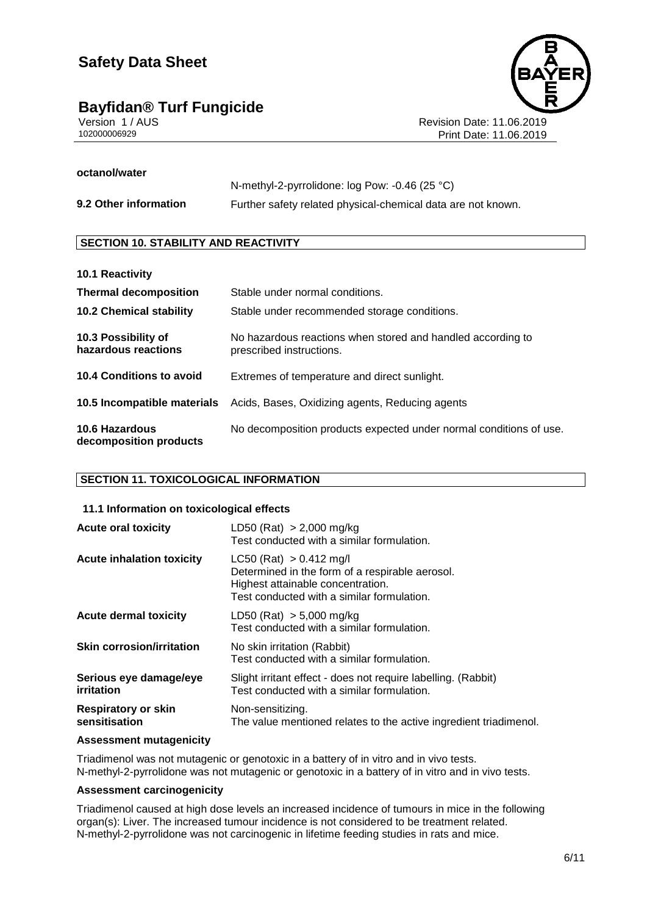# Bayfidan<sup>®</sup> Turf Fungicide<br>
Version 1/AUS



Version 1 / AUS Revision Date: 11.06.2019 Print Date: 11.06.2019

#### **octanol/water**

|                       | N-methyl-2-pyrrolidone: $log$ Pow: -0.46 (25 °C)             |
|-----------------------|--------------------------------------------------------------|
| 9.2 Other information | Further safety related physical-chemical data are not known. |

#### **SECTION 10. STABILITY AND REACTIVITY**

| 10.1 Reactivity                            |                                                                                         |
|--------------------------------------------|-----------------------------------------------------------------------------------------|
| <b>Thermal decomposition</b>               | Stable under normal conditions.                                                         |
| <b>10.2 Chemical stability</b>             | Stable under recommended storage conditions.                                            |
| 10.3 Possibility of<br>hazardous reactions | No hazardous reactions when stored and handled according to<br>prescribed instructions. |
| 10.4 Conditions to avoid                   | Extremes of temperature and direct sunlight.                                            |
| 10.5 Incompatible materials                | Acids, Bases, Oxidizing agents, Reducing agents                                         |
| 10.6 Hazardous<br>decomposition products   | No decomposition products expected under normal conditions of use.                      |

#### **SECTION 11. TOXICOLOGICAL INFORMATION**

#### **11.1 Information on toxicological effects**

| <b>Acute oral toxicity</b>                  | LD50 (Rat) $> 2,000$ mg/kg<br>Test conducted with a similar formulation.                                                                                          |
|---------------------------------------------|-------------------------------------------------------------------------------------------------------------------------------------------------------------------|
| <b>Acute inhalation toxicity</b>            | $LC50$ (Rat) $> 0.412$ mg/l<br>Determined in the form of a respirable aerosol.<br>Highest attainable concentration.<br>Test conducted with a similar formulation. |
| <b>Acute dermal toxicity</b>                | LD50 (Rat) > 5,000 mg/kg<br>Test conducted with a similar formulation.                                                                                            |
| <b>Skin corrosion/irritation</b>            | No skin irritation (Rabbit)<br>Test conducted with a similar formulation.                                                                                         |
| Serious eye damage/eye<br>irritation        | Slight irritant effect - does not require labelling. (Rabbit)<br>Test conducted with a similar formulation.                                                       |
| <b>Respiratory or skin</b><br>sensitisation | Non-sensitizing.<br>The value mentioned relates to the active ingredient triadimenol.                                                                             |

#### **Assessment mutagenicity**

Triadimenol was not mutagenic or genotoxic in a battery of in vitro and in vivo tests. N-methyl-2-pyrrolidone was not mutagenic or genotoxic in a battery of in vitro and in vivo tests.

#### **Assessment carcinogenicity**

Triadimenol caused at high dose levels an increased incidence of tumours in mice in the following organ(s): Liver. The increased tumour incidence is not considered to be treatment related. N-methyl-2-pyrrolidone was not carcinogenic in lifetime feeding studies in rats and mice.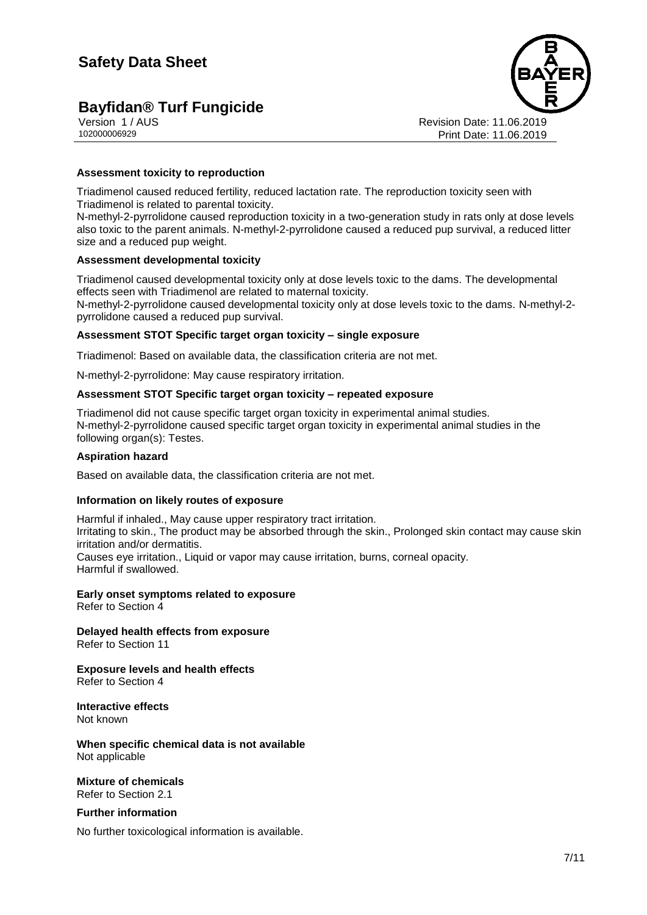# **Bayfidan<sup>®</sup> Turf Fungicide**



Version 1 / AUS Revision Date: 11.06.2019 Print Date: 11.06.2019

#### **Assessment toxicity to reproduction**

Triadimenol caused reduced fertility, reduced lactation rate. The reproduction toxicity seen with Triadimenol is related to parental toxicity.

N-methyl-2-pyrrolidone caused reproduction toxicity in a two-generation study in rats only at dose levels also toxic to the parent animals. N-methyl-2-pyrrolidone caused a reduced pup survival, a reduced litter size and a reduced pup weight.

#### **Assessment developmental toxicity**

Triadimenol caused developmental toxicity only at dose levels toxic to the dams. The developmental effects seen with Triadimenol are related to maternal toxicity.

N-methyl-2-pyrrolidone caused developmental toxicity only at dose levels toxic to the dams. N-methyl-2 pyrrolidone caused a reduced pup survival.

#### **Assessment STOT Specific target organ toxicity – single exposure**

Triadimenol: Based on available data, the classification criteria are not met.

N-methyl-2-pyrrolidone: May cause respiratory irritation.

#### **Assessment STOT Specific target organ toxicity – repeated exposure**

Triadimenol did not cause specific target organ toxicity in experimental animal studies. N-methyl-2-pyrrolidone caused specific target organ toxicity in experimental animal studies in the following organ(s): Testes.

#### **Aspiration hazard**

Based on available data, the classification criteria are not met.

#### **Information on likely routes of exposure**

Harmful if inhaled., May cause upper respiratory tract irritation. Irritating to skin., The product may be absorbed through the skin., Prolonged skin contact may cause skin irritation and/or dermatitis. Causes eye irritation., Liquid or vapor may cause irritation, burns, corneal opacity. Harmful if swallowed.

# **Early onset symptoms related to exposure**

Refer to Section 4

### **Delayed health effects from exposure**

Refer to Section 11

#### **Exposure levels and health effects** Refer to Section 4

**Interactive effects** Not known

**When specific chemical data is not available** Not applicable

**Mixture of chemicals** Refer to Section 2.1

#### **Further information**

No further toxicological information is available.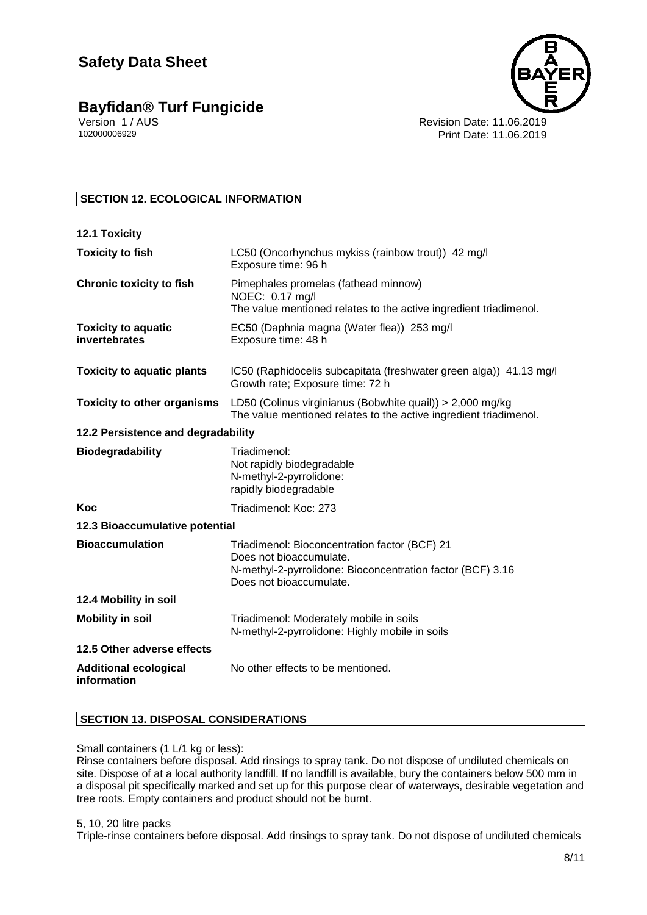

#### **SECTION 12. ECOLOGICAL INFORMATION**

| 12.1 Toxicity                               |                                                                                                                                                                   |  |
|---------------------------------------------|-------------------------------------------------------------------------------------------------------------------------------------------------------------------|--|
| <b>Toxicity to fish</b>                     | LC50 (Oncorhynchus mykiss (rainbow trout)) 42 mg/l<br>Exposure time: 96 h                                                                                         |  |
| <b>Chronic toxicity to fish</b>             | Pimephales promelas (fathead minnow)<br>NOEC: 0.17 mg/l<br>The value mentioned relates to the active ingredient triadimenol.                                      |  |
| <b>Toxicity to aquatic</b><br>invertebrates | EC50 (Daphnia magna (Water flea)) 253 mg/l<br>Exposure time: 48 h                                                                                                 |  |
| <b>Toxicity to aquatic plants</b>           | IC50 (Raphidocelis subcapitata (freshwater green alga)) 41.13 mg/l<br>Growth rate; Exposure time: 72 h                                                            |  |
| <b>Toxicity to other organisms</b>          | LD50 (Colinus virginianus (Bobwhite quail)) > 2,000 mg/kg<br>The value mentioned relates to the active ingredient triadimenol.                                    |  |
| 12.2 Persistence and degradability          |                                                                                                                                                                   |  |
| <b>Biodegradability</b>                     | Triadimenol:<br>Not rapidly biodegradable<br>N-methyl-2-pyrrolidone:<br>rapidly biodegradable                                                                     |  |
| Koc                                         | Triadimenol: Koc: 273                                                                                                                                             |  |
| 12.3 Bioaccumulative potential              |                                                                                                                                                                   |  |
| <b>Bioaccumulation</b>                      | Triadimenol: Bioconcentration factor (BCF) 21<br>Does not bioaccumulate.<br>N-methyl-2-pyrrolidone: Bioconcentration factor (BCF) 3.16<br>Does not bioaccumulate. |  |
| 12.4 Mobility in soil                       |                                                                                                                                                                   |  |
| <b>Mobility in soil</b>                     | Triadimenol: Moderately mobile in soils<br>N-methyl-2-pyrrolidone: Highly mobile in soils                                                                         |  |
| 12.5 Other adverse effects                  |                                                                                                                                                                   |  |
| <b>Additional ecological</b><br>information | No other effects to be mentioned.                                                                                                                                 |  |

#### **SECTION 13. DISPOSAL CONSIDERATIONS**

#### Small containers (1 L/1 kg or less):

Rinse containers before disposal. Add rinsings to spray tank. Do not dispose of undiluted chemicals on site. Dispose of at a local authority landfill. If no landfill is available, bury the containers below 500 mm in a disposal pit specifically marked and set up for this purpose clear of waterways, desirable vegetation and tree roots. Empty containers and product should not be burnt.

#### 5, 10, 20 litre packs

Triple-rinse containers before disposal. Add rinsings to spray tank. Do not dispose of undiluted chemicals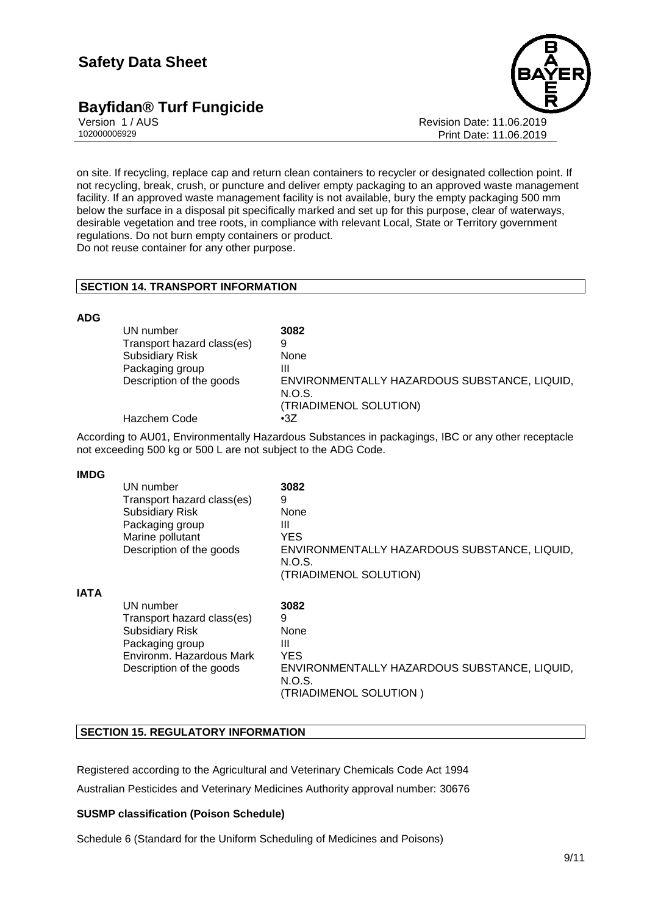### **Bayfidan<sup>®</sup> Turf Fungicide**



Version 1 / AUS Revision Date: 11.06.2019 Print Date: 11.06.2019

on site. If recycling, replace cap and return clean containers to recycler or designated collection point. If not recycling, break, crush, or puncture and deliver empty packaging to an approved waste management facility. If an approved waste management facility is not available, bury the empty packaging 500 mm below the surface in a disposal pit specifically marked and set up for this purpose, clear of waterways, desirable vegetation and tree roots, in compliance with relevant Local, State or Territory government regulations. Do not burn empty containers or product.

Do not reuse container for any other purpose.

#### **SECTION 14. TRANSPORT INFORMATION**

#### **ADG**

| UN number                  | 3082                                                   |
|----------------------------|--------------------------------------------------------|
| Transport hazard class(es) | 9                                                      |
| <b>Subsidiary Risk</b>     | None                                                   |
| Packaging group            | Ш                                                      |
| Description of the goods   | ENVIRONMENTALLY HAZARDOUS SUBSTANCE, LIQUID,<br>N.O.S. |
| Hazchem Code               | (TRIADIMENOL SOLUTION)<br>$\cdot$ 3Z                   |

According to AU01, Environmentally Hazardous Substances in packagings, IBC or any other receptacle not exceeding 500 kg or 500 L are not subject to the ADG Code.

#### **IMDG**

|             | UN number<br>Transport hazard class(es)<br><b>Subsidiary Risk</b><br>Packaging group<br>Marine pollutant<br>Description of the goods         | 3082<br>9<br>None<br>Ш<br><b>YES</b><br>ENVIRONMENTALLY HAZARDOUS SUBSTANCE, LIQUID,<br>N.O.S.<br>(TRIADIMENOL SOLUTION) |
|-------------|----------------------------------------------------------------------------------------------------------------------------------------------|--------------------------------------------------------------------------------------------------------------------------|
| <b>IATA</b> | UN number<br>Transport hazard class(es)<br><b>Subsidiary Risk</b><br>Packaging group<br>Environm, Hazardous Mark<br>Description of the goods | 3082<br>9<br>None<br>Ш<br><b>YES</b><br>ENVIRONMENTALLY HAZARDOUS SUBSTANCE, LIQUID,<br>N.O.S.<br>(TRIADIMENOL SOLUTION) |

#### **SECTION 15. REGULATORY INFORMATION**

Registered according to the Agricultural and Veterinary Chemicals Code Act 1994

Australian Pesticides and Veterinary Medicines Authority approval number: 30676

#### **SUSMP classification (Poison Schedule)**

Schedule 6 (Standard for the Uniform Scheduling of Medicines and Poisons)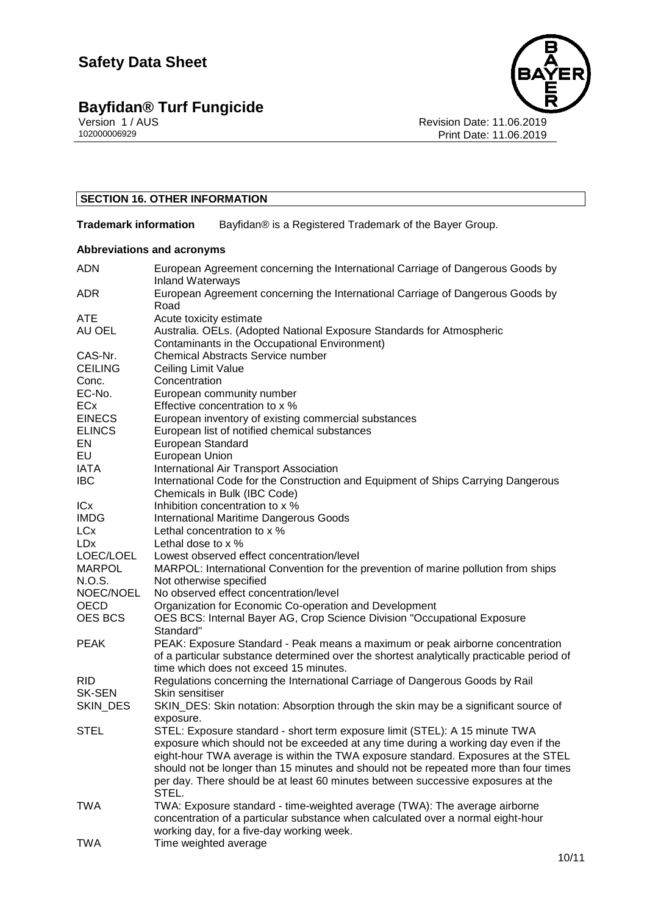### **Bayfidan® Turf Fungicide 10/11**



#### **SECTION 16. OTHER INFORMATION**

**Trademark information** Bayfidan<sup>®</sup> is a Registered Trademark of the Bayer Group.

#### **Abbreviations and acronyms**

| <b>ADN</b>             | European Agreement concerning the International Carriage of Dangerous Goods by<br><b>Inland Waterways</b> |
|------------------------|-----------------------------------------------------------------------------------------------------------|
| <b>ADR</b>             | European Agreement concerning the International Carriage of Dangerous Goods by                            |
| <b>ATE</b>             | Road                                                                                                      |
| AU OEL                 | Acute toxicity estimate<br>Australia. OELs. (Adopted National Exposure Standards for Atmospheric          |
|                        | Contaminants in the Occupational Environment)                                                             |
| CAS-Nr.                | <b>Chemical Abstracts Service number</b>                                                                  |
| <b>CEILING</b>         |                                                                                                           |
|                        | Ceiling Limit Value<br>Concentration                                                                      |
| Conc.<br>EC-No.        | European community number                                                                                 |
| ECx                    | Effective concentration to x %                                                                            |
|                        |                                                                                                           |
| <b>EINECS</b>          | European inventory of existing commercial substances                                                      |
| <b>ELINCS</b>          | European list of notified chemical substances                                                             |
| EN<br>EU               | European Standard                                                                                         |
|                        | European Union                                                                                            |
| IATA                   | International Air Transport Association                                                                   |
| <b>IBC</b>             | International Code for the Construction and Equipment of Ships Carrying Dangerous                         |
| ICx                    | Chemicals in Bulk (IBC Code)<br>Inhibition concentration to x %                                           |
| <b>IMDG</b>            |                                                                                                           |
| <b>LCx</b>             | <b>International Maritime Dangerous Goods</b><br>Lethal concentration to x %                              |
| <b>LD</b> <sub>x</sub> | Lethal dose to x %                                                                                        |
| LOEC/LOEL              | Lowest observed effect concentration/level                                                                |
| <b>MARPOL</b>          | MARPOL: International Convention for the prevention of marine pollution from ships                        |
| N.O.S.                 | Not otherwise specified                                                                                   |
| NOEC/NOEL              | No observed effect concentration/level                                                                    |
| OECD                   | Organization for Economic Co-operation and Development                                                    |
| <b>OES BCS</b>         | OES BCS: Internal Bayer AG, Crop Science Division "Occupational Exposure                                  |
|                        | Standard"                                                                                                 |
| <b>PEAK</b>            | PEAK: Exposure Standard - Peak means a maximum or peak airborne concentration                             |
|                        | of a particular substance determined over the shortest analytically practicable period of                 |
|                        | time which does not exceed 15 minutes.                                                                    |
| <b>RID</b>             | Regulations concerning the International Carriage of Dangerous Goods by Rail                              |
| <b>SK-SEN</b>          | Skin sensitiser                                                                                           |
| SKIN_DES               | SKIN_DES: Skin notation: Absorption through the skin may be a significant source of                       |
|                        | exposure.                                                                                                 |
| <b>STEL</b>            | STEL: Exposure standard - short term exposure limit (STEL): A 15 minute TWA                               |
|                        | exposure which should not be exceeded at any time during a working day even if the                        |
|                        | eight-hour TWA average is within the TWA exposure standard. Exposures at the STEL                         |
|                        | should not be longer than 15 minutes and should not be repeated more than four times                      |
|                        | per day. There should be at least 60 minutes between successive exposures at the                          |
|                        | STEL.                                                                                                     |
| <b>TWA</b>             | TWA: Exposure standard - time-weighted average (TWA): The average airborne                                |
|                        | concentration of a particular substance when calculated over a normal eight-hour                          |
|                        | working day, for a five-day working week.                                                                 |
| <b>TWA</b>             | Time weighted average                                                                                     |
|                        |                                                                                                           |